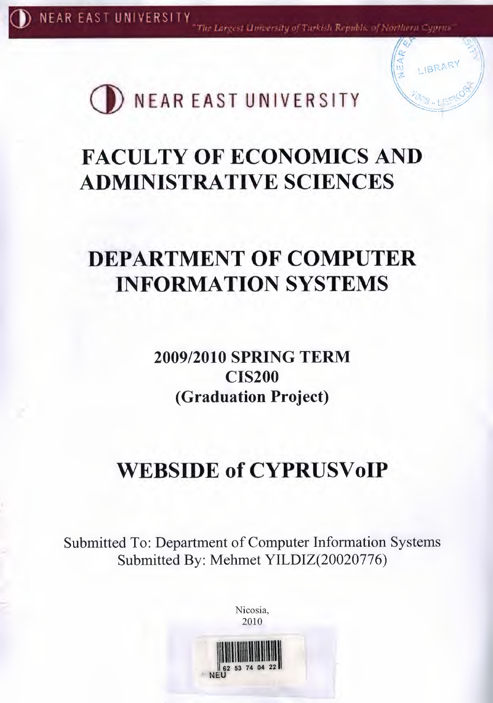The Largest University of Trickish Republic of Northern Cyprus'

LIBRARY



# **FACULTY OF ECONOMICS AND ADMINISTRATIVE SCIENCES**

# **DEPARTMENT OF COMPUTER INFORMATION SYSTEMS**

**2009/2010 SPRING TERM CIS200** (Graduation Project)

# **WEBSIDE of CYPRUSVoIP**

Submitted To: Department of Computer Information Systems Submitted By: Mehmet YILDIZ(20020776)



Nicosia.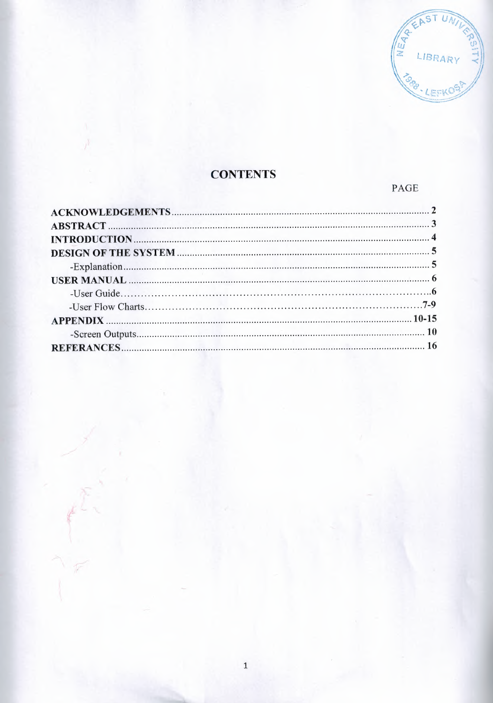

# **CONTENTS**

PAGE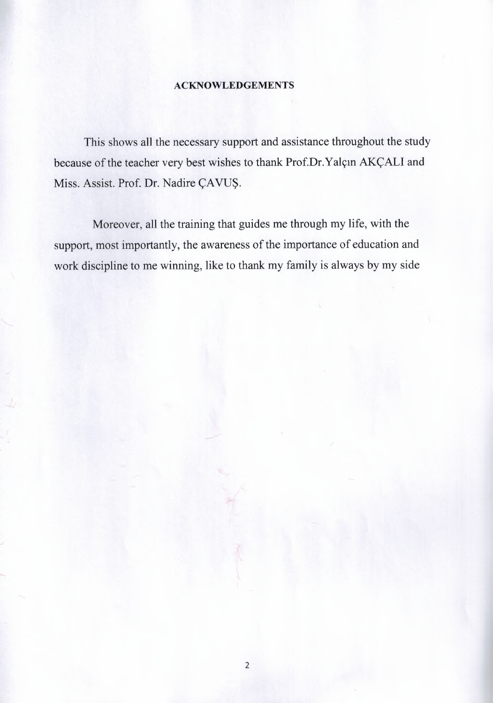#### **ACKNOWLEDGEMENTS**

This shows all the necessary support and assistance throughout the study because of the teacher very best wishes to thank Prof.Dr.Yalçın AKÇALI and Miss. Assist. Prof. Dr. Nadire ÇAVUŞ.

Moreover, all the training that guides me through my life, with the support, most importantly, the awareness of the importance of education and work discipline to me winning, like to thank my family is always by my side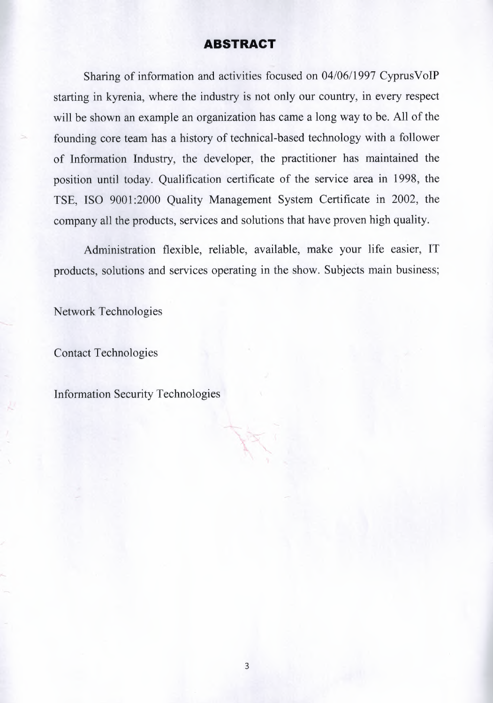#### **ABSTRACT**

Sharing of information and activities focused on 04/06/1997 CyprusVoIP starting in kyrenia, where the industry is not only our country, in every respect will be shown an example an organization has came a long way to be. All of the founding core team has a history of technical-based technology with a follower of Information Industry, the developer, the practitioner has maintained the position until today. Qualification certificate of the service area in 1998, the TSE, ISO 9001:2000 Ouality Management System Certificate in 2002, the company all the products, services and solutions that have proven high quality.

Administration flexible, reliable, available, make your life easier, IT products, solutions and services operating in the show. Subjects main business;

Network Technologies

Contact Technologies

Information Security Technologies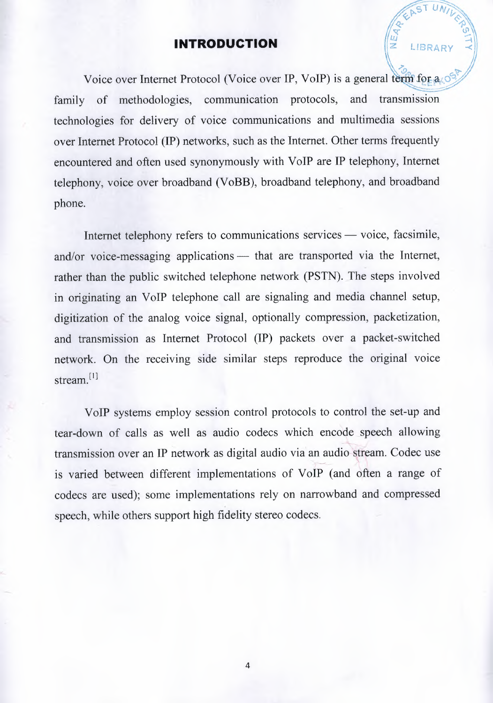### **INTRODUCTION**

Voice over Internet Protocol (Voice over IP, VoIP) is a general term for  $a \circ$ *<u>Are You ()</u>* family of methodologies, communication protocols, and transmission technologies for delivery of voice communications and multimedia sessions over Internet Protocol (IP) networks, such as the Internet. Other terms frequently encountered and often used synonymously with VoIP are IP telephony, Internet telephony, voice over broadband (VoBB), broadband telephony, and broadband phone.

*)"9 ~* 

LIBRARY

Internet telephony refers to communications services  $-$  voice, facsimile, and/or voice-messaging applications  $-$  that are transported via the Internet, rather than the public switched telephone network (PSTN). The steps involved in originating an VoIP telephone call are signaling and media channel setup, digitization of the analog voice signal, optionally compression, packetization, and transmission as Internet Protocol (IP) packets over a packet-switched network. On the receiving side similar steps reproduce the original voice stream.<sup>[1]</sup>

VoIP systems employ session control protocols to control the set-up and tear-down of calls as well as audio codecs which encode speech allowing ~ ~ transmission over an IP network as digital audio via an audio-stream. Codec use is varied between different implementations of VoIP (and often a range of codecs are used); some implementations rely on narrowband and compressed speech, while others support high fidelity stereo codecs.

4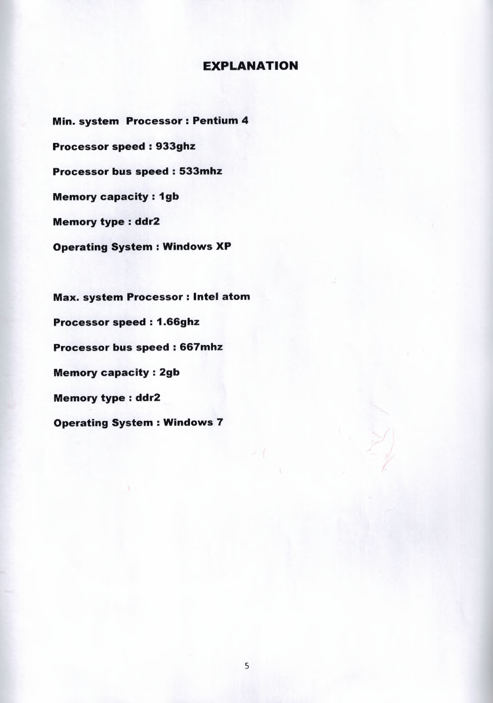### EXPLANATION

Min. system Processor: Pentium 4 Processor speed : 933ghz Processor bus speed : 533mhz **Memory capacity : 1gb** Memory type : ddr2 Operating System : Windows XP

Max. system Processor: Intel atom Processor speed : 1.66ghz Processor bus speed : 667mhz Memory capacity : 2gb Memory type : ddr2 Operating System : Windows 7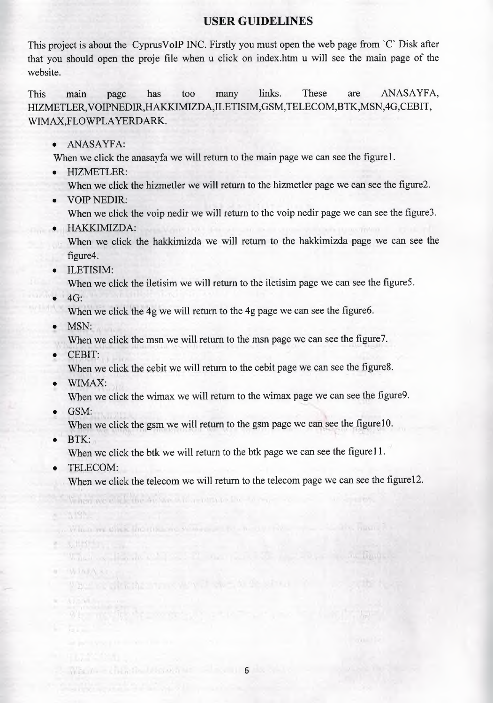### **USER GUIDELINES**

This project is about the CyprusVoIP INC. Firstly you must open the web page from 'C' Disk after that you should open the proje file when u click on index.htm u will see the main page of the website.

This main page has too many links. These are ANASAYFA, HIZMETLER,VOIPNEDIR,HAKKIMIZDA,ILETISIM,GSM,TELECOM,BTK,MSN,4G,CEBIT, WIMAX,FLOWPLA YERDARK.

• ANASAYFA:

When we click the anasayfa we will return to the main page we can see the figure 1.

- HIZMETLER:
	- When we click the hizmetler we will return to the hizmetler page we can see the figure2.
- VOiP NEDIR:

When we click the voip nedir we will return to the voip nedir page we can see the figure3.

,• HAKKIMIZDA:

When we click the hakkimizda we will return to the hakkimizda page we can see the figure4.

• ILETISIM:

When we click the iletisim we will return to the iletisim page we can see the figure5.

 $\bullet$   $4G:$ 

When we click the 4g we will return to the 4g page we can see the figure6.

MSN:

When we click the msn we will return to the msn page we can see the figure7.

• CEBIT;

When we click the cebit we will return to the cebit page we can see the figure8.

• WIMAX:

When we click the wimax we will return to the wimax page we can see the figure9.

• GSM:

When we click the gsm we will return to the gsm page we can see the figure10.

 $\bullet$   $\cdot$  BTK:

When we click the btk we will return to the btk page we can see the figure 11.

• TELECOM:

 $\mathcal{A}$  is  $\mathcal{A}$ 

When we can know 40 see with a particular live

When we click the means we want as the

When the calculation is controlled to the second second to the second second to the second second second second second second second second second second second second second second second second second second second secon

What are the most pro-

When we click the telecom we will return to the telecom page we can see the figure 12.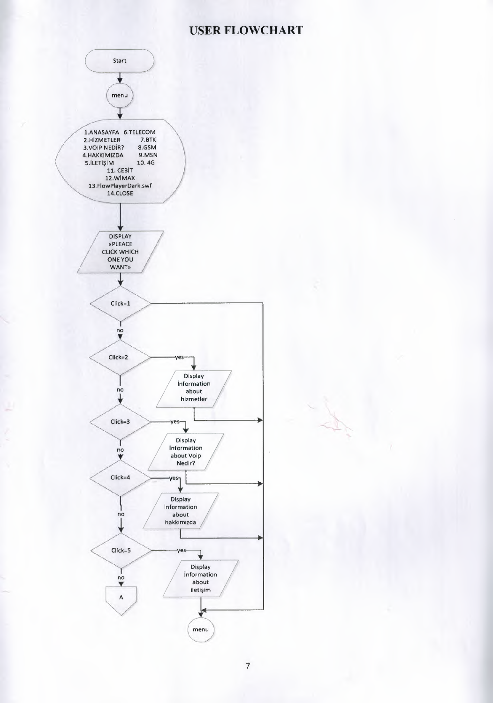### **USER FLOWCHART**



7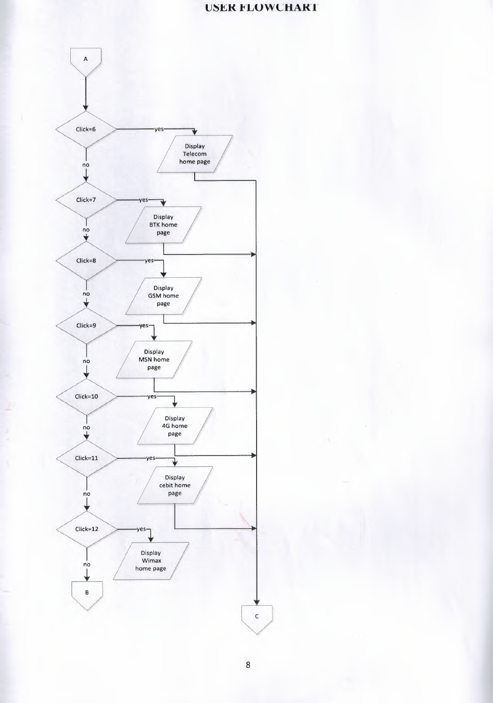### **LISER FLOWCHART**

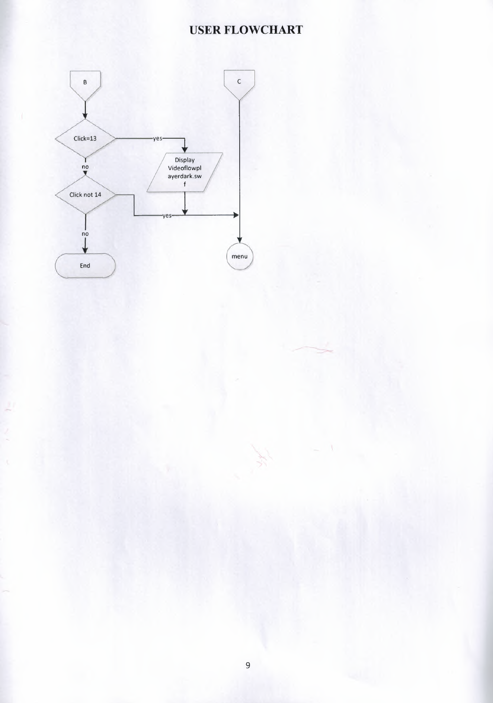# **USER FLOWCHART**

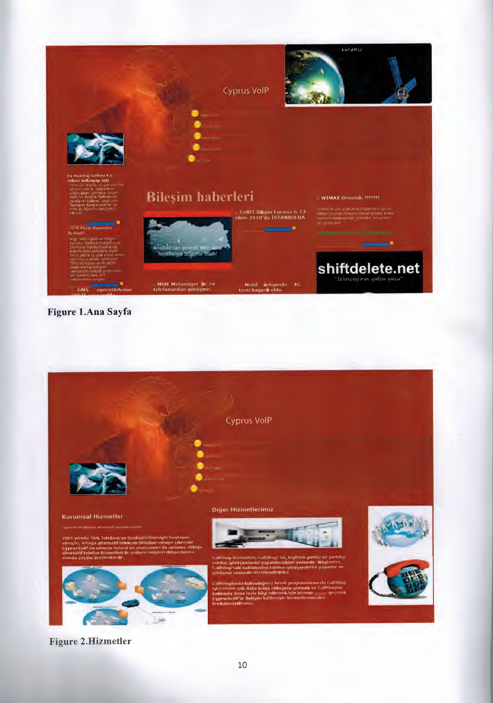

#### Figure 1.Ana Sayfa



#### Figure 2.Hizmetler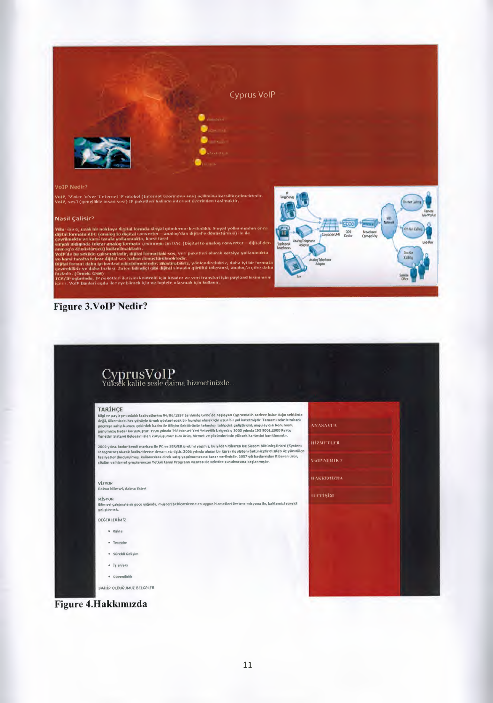

.<br>VoJP, 'V'oice 'o'ver 'I'nternet 'P'rotokol (Internet uzermden ses) açılımına karsilik gelmektedir<br>VoJP, ses'i (genellikle insan sesi) IP paketleri halinde internet üzerinden tasimaktır.

#### **Nasil Çalisir?**

rillar önce, uzak bir neklaya digital formda sinyal gönderme kesfedidir. Sinyal yollanmadan önce<br>dijital formata ADC (analog to digital converter – analog dan dijital'e dönüstürneti) ile ile<br>gyevilmekte ve karsi tarafa yol

#### Figure 3. VoIP Nedir?



**HIZMETLER** 

**VOIP NEDIR?** 

**HAKKIMIZDA** 

**ILTTIŞİM** 

# CyprusVoIP<br>Yüksek kalite sesle daima hizmetinizde...

#### **TARTHCF**

Bilgi ve paylaşım odaklı faaliyetlerine 04/06/1997 tarihinde Girne'de başlayan CyprusYolP, sadece bulunduğu sektörde<br>değil, Gikemizde, her yönüyle örnek gösterilecek bir kuruluş olmak için uzun bir yol katetmiştir. Tamamı

2000 yılına kadar kendi markası ile PC ve SERVER üretimi yapmış, bu yıldan itibaren ise Sistem Bütünleştiricisi (System<br>İntegrator) olarak faaliyetlerine devam etmiştir. 2006 yılında alınan bir karar ile sistem butünleştir

VİZYON<br>Daima bilimsel, daima ilkleri

MÍSVOJ 8ilinuel i;ahfmalann gGcU ~1Qmda, miltterl beklentilerine en uygun hizmetleri iiretme misyonu ne, kalitemizi sUrekli gelistirme

DEĞERLERİMİZ

- Kalite
- 'recrube
- Sürekli Gelişim
- $\bullet$   $\mathbf{i}_\mathbb{S}$ ahlakı
- $-$  Güvenilirlik

SAHİP OLDUĞUMUZ BELGELER

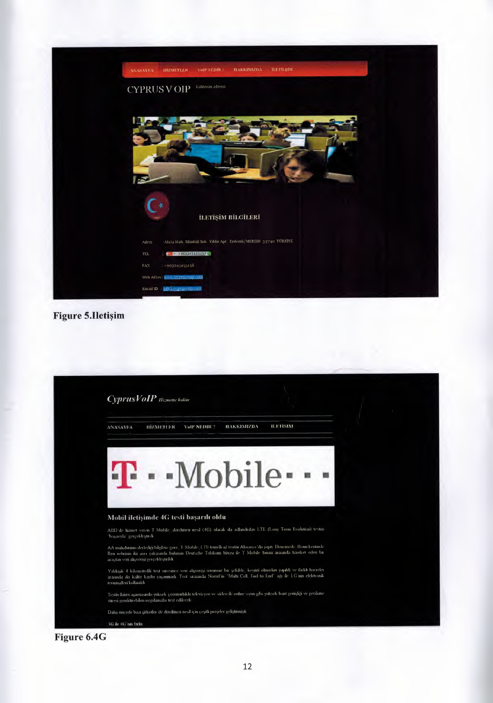

**Figure 5.Iletişim** 

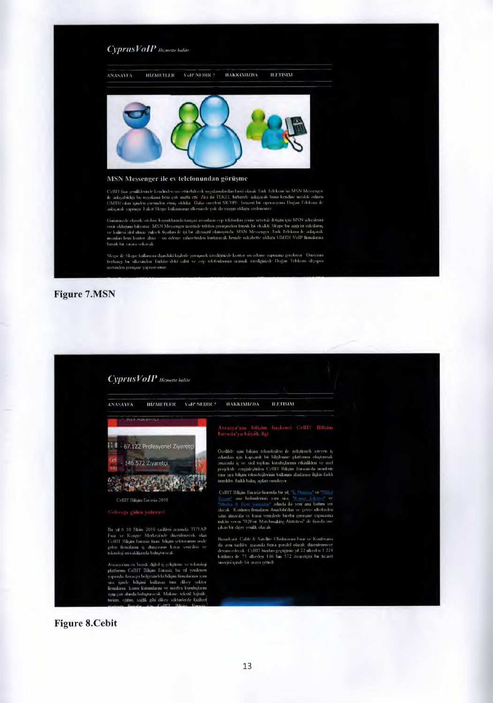

buyuk bir zarara sokacak

Skype de Skype kullaracisi digindaki kigderle gorugnick istedigatizde kontor on odeme yapmanız gerekiyor. Dunyanın<br>berhang, bir ülkesinden, Türkiye deki, sabit, ve cep telefonlarınızı, aramak, istediğinizde Doğar, Telekom

Figure 7 .MSN



#### Figure 8.Cebit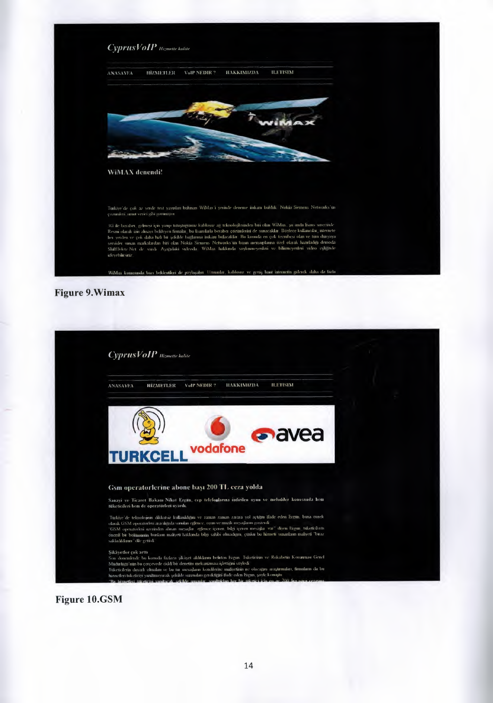

**Figure 9. Wimax** 

| CyprusVoIP Hizmette kalite               |                                                                                                                                                                                                                                                                                                                                                                                                                                                     |                                                                                                                        |
|------------------------------------------|-----------------------------------------------------------------------------------------------------------------------------------------------------------------------------------------------------------------------------------------------------------------------------------------------------------------------------------------------------------------------------------------------------------------------------------------------------|------------------------------------------------------------------------------------------------------------------------|
| <b>HİZMETLER</b><br><b>ANASAVEA</b>      | HAKKIMIZDA<br><b>ILETISIM</b><br>VolP NEDIR?                                                                                                                                                                                                                                                                                                                                                                                                        |                                                                                                                        |
| <b>TURKCELL</b>                          | <b>a</b> avea<br>vodafone                                                                                                                                                                                                                                                                                                                                                                                                                           |                                                                                                                        |
|                                          | Gsm operatorlerine abone başı 200 TL ceza yolda                                                                                                                                                                                                                                                                                                                                                                                                     |                                                                                                                        |
| tuketicileri hem de operatörleri uyardı. | Sanavi ve Ticaret Bakanı Nihat Ergun, cep telefonlarına indirilen oyun ve melodiler konusunda hem                                                                                                                                                                                                                                                                                                                                                   |                                                                                                                        |
| sakladikkum dile getadi                  | Turkiye'de teknolojinin dikkatsiz kullanıklığını ve zaman zaman zarara yol açuğun ifade eden Ergün, buna ornek<br>okaak GSM operatorleri aracalışıyla sırından eşilence, oyun ve mazik mesajların gösterdi.<br>"GSM operatorleri uzerinden alınan mesağlar eşlence içeren, bilgi içeren mesajlar var" diyen Ergim, tükencilerin<br>onema ba bolamaniin bunkum maliyeti hakkanda bagi sahibi olmadığını, çunku bu hizmeti sunanların maliyeti "biraz |                                                                                                                        |
| Sikâyetler çok arttı                     | Son donemlerde bu konuda fazlaca şikâyet aldıkların belirten Ergin. Tüketicinin ve Rekabetin Korunması Genel<br>Mudurlugu'nun bu cercevede ciddi bu denetini mekanizmasi işlettiğini soyledi                                                                                                                                                                                                                                                        | Tuketicilerin dayarlı olmaları ve bu tur mesajlam kendilerine maliyetinin ne olacağını araştırmaları, firmaların da bu |

**Figure 10.GSM**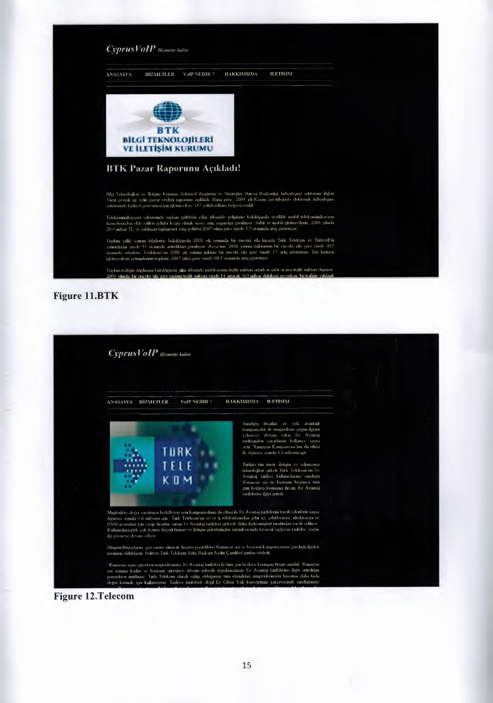

#### Figure 11.BTK



#### Figure 12.Telecom